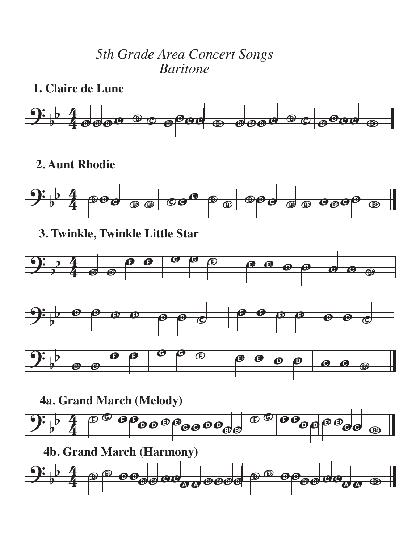## *5th Grade Area Concert Songs Baritone*